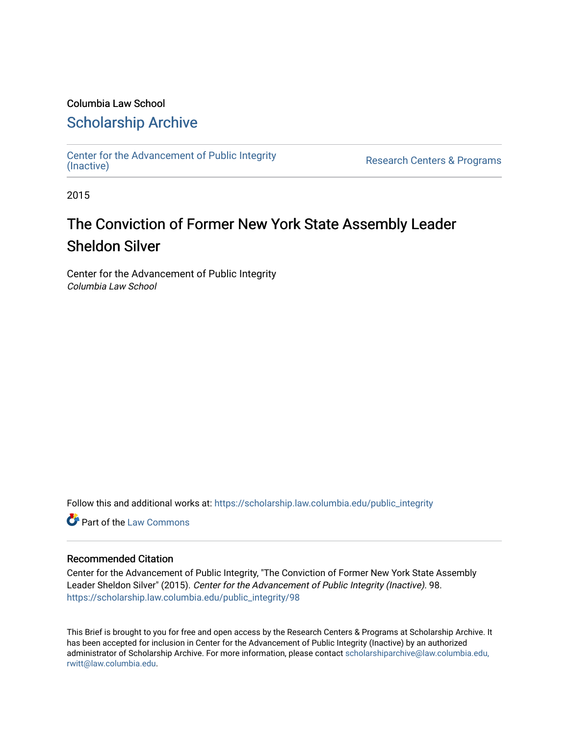## Columbia Law School

## [Scholarship Archive](https://scholarship.law.columbia.edu/)

[Center for the Advancement of Public Integrity](https://scholarship.law.columbia.edu/public_integrity)<br>(Inactive)

Research Centers & Programs

2015

# The Conviction of Former New York State Assembly Leader Sheldon Silver

Center for the Advancement of Public Integrity Columbia Law School

Follow this and additional works at: [https://scholarship.law.columbia.edu/public\\_integrity](https://scholarship.law.columbia.edu/public_integrity?utm_source=scholarship.law.columbia.edu%2Fpublic_integrity%2F98&utm_medium=PDF&utm_campaign=PDFCoverPages)

**Part of the [Law Commons](http://network.bepress.com/hgg/discipline/578?utm_source=scholarship.law.columbia.edu%2Fpublic_integrity%2F98&utm_medium=PDF&utm_campaign=PDFCoverPages)** 

### Recommended Citation

Center for the Advancement of Public Integrity, "The Conviction of Former New York State Assembly Leader Sheldon Silver" (2015). Center for the Advancement of Public Integrity (Inactive). 98. [https://scholarship.law.columbia.edu/public\\_integrity/98](https://scholarship.law.columbia.edu/public_integrity/98?utm_source=scholarship.law.columbia.edu%2Fpublic_integrity%2F98&utm_medium=PDF&utm_campaign=PDFCoverPages) 

This Brief is brought to you for free and open access by the Research Centers & Programs at Scholarship Archive. It has been accepted for inclusion in Center for the Advancement of Public Integrity (Inactive) by an authorized administrator of Scholarship Archive. For more information, please contact [scholarshiparchive@law.columbia.edu,](mailto:scholarshiparchive@law.columbia.edu,%20rwitt@law.columbia.edu)  [rwitt@law.columbia.edu.](mailto:scholarshiparchive@law.columbia.edu,%20rwitt@law.columbia.edu)